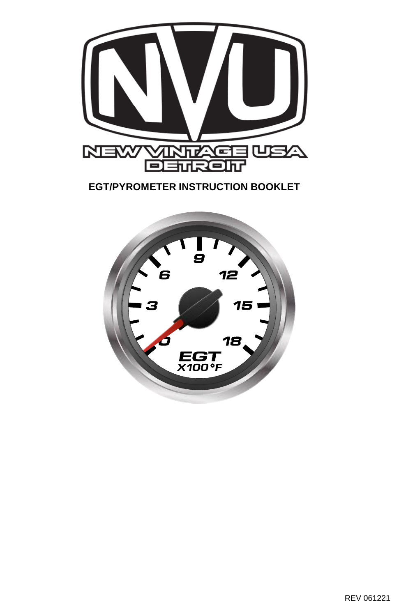

**EGT/PYROMETER INSTRUCTION BOOKLET**

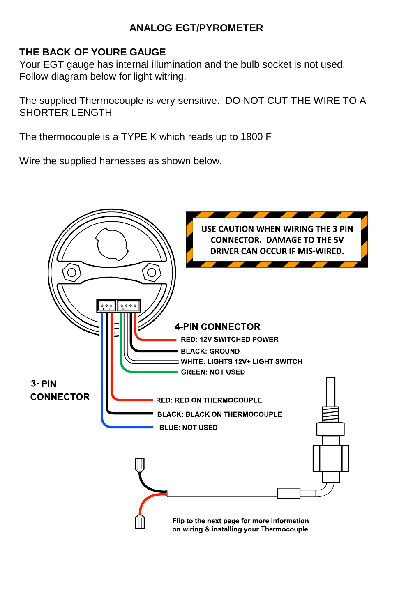## **ANALOG EGT/PYROMETER**

## **THE BACK OF YOURE GAUGE**

Your EGT gauge has internal illumination and the bulb socket is not used. Follow diagram below for light witring.

The supplied Thermocouple is very sensitive. DO NOT CUT THE WIRE TO A SHORTER LENGTH

The thermocouple is a TYPE K which reads up to 1800 F

Wire the supplied harnesses as shown below.

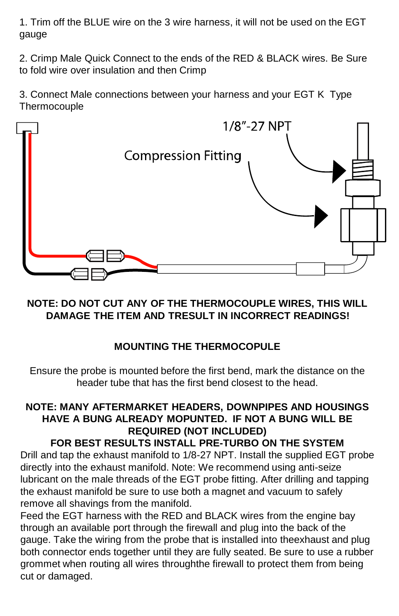1. Trim off the BLUE wire on the 3 wire harness, it will not be used on the EGT gauge

2. Crimp Male Quick Connect to the ends of the RED & BLACK wires. Be Sure to fold wire over insulation and then Crimp

3. Connect Male connections between your harness and your EGT K Type **Thermocouple** 



## **NOTE: DO NOT CUT ANY OF THE THERMOCOUPLE WIRES, THIS WILL DAMAGE THE ITEM AND TRESULT IN INCORRECT READINGS!**

# **MOUNTING THE THERMOCOPULE**

Ensure the probe is mounted before the first bend, mark the distance on the header tube that has the first bend closest to the head.

# **NOTE: MANY AFTERMARKET HEADERS, DOWNPIPES AND HOUSINGS HAVE A BUNG ALREADY MOPUNTED. IF NOT A BUNG WILL BE REQUIRED (NOT INCLUDED)**

#### **FOR BEST RESULTS INSTALL PRE-TURBO ON THE SYSTEM** Drill and tap the exhaust manifold to 1/8-27 NPT. Install the supplied EGT probe directly into the exhaust manifold. Note: We recommend using anti-seize

lubricant on the male threads of the EGT probe fitting. After drilling and tapping the exhaust manifold be sure to use both a magnet and vacuum to safely remove all shavings from the manifold.

Feed the EGT harness with the RED and BLACK wires from the engine bay through an available port through the firewall and plug into the back of the gauge. Take the wiring from the probe that is installed into theexhaust and plug both connector ends together until they are fully seated. Be sure to use a rubber grommet when routing all wires throughthe firewall to protect them from being cut or damaged.